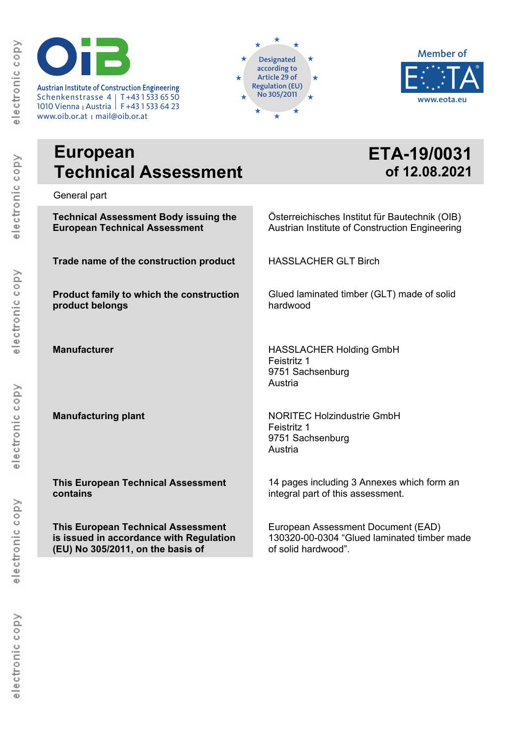Austrian Institute of Construction Engineering<br>
Schenkenstrasse 4 | T+43 1533 65 50 **INSTITUTE FUR BAUTECHN**<br>
No 305/2011 Schenkenstrasse 4 T+43 1 533 65 50 1010 Vienna <sub>I</sub> Austria | F+43 1 533 64 23

www.oib.or.at <sub>|</sub> mail@oib.or.at





# **European Technical Assessment**

# **ETA-19/0031 of 12.08.2021**

General part

**Technical Assessment Body issuing the European Technical Assessment Trade name of the construction product Product family to which the construction product belongs Manufacturer Manufacturing plant This European Technical Assessment contains This European Technical Assessment is issued in accordance with Regulation (EU) No 305/2011, on the basis of**  Österreichisches Institut für Bautechnik (OIB) Austrian Institute of Construction Engineering HASSLACHER GLT Birch Glued laminated timber (GLT) made of solid hardwood HASSLACHER Holding GmbH Feistritz 1 9751 Sachsenburg Austria NORITEC Holzindustrie GmbH Feistritz 1 9751 Sachsenburg Austria 14 pages including 3 Annexes which form an integral part of this assessment. European Assessment Document (EAD) 130320-00-0304 "Glued laminated timber made of solid hardwood".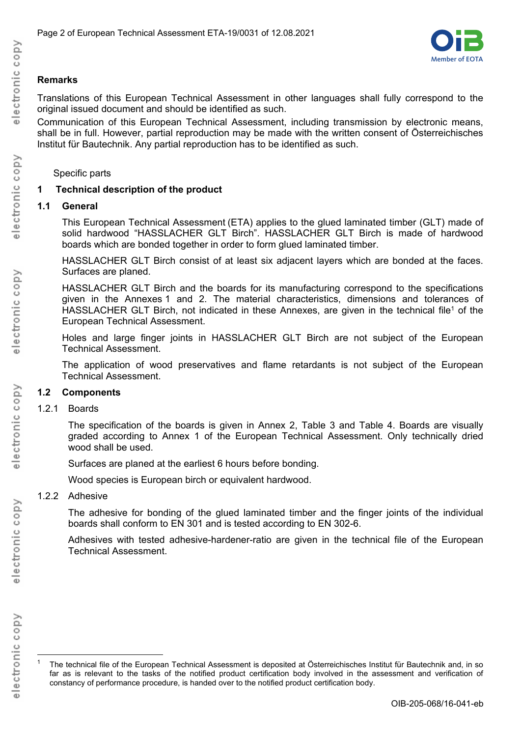

# **Remarks**

Translations of this European Technical Assessment in other languages shall fully correspond to the original issued document and should be identified as such.

Communication of this European Technical Assessment, including transmission by electronic means, shall be in full. However, partial reproduction may be made with the written consent of Österreichisches Institut für Bautechnik. Any partial reproduction has to be identified as such.

### Specific parts

# **1 Technical description of the product**

# **1.1 General**

This European Technical Assessment (ETA) applies to the glued laminated timber (GLT) made of solid hardwood "HASSLACHER GLT Birch". HASSLACHER GLT Birch is made of hardwood boards which are bonded together in order to form glued laminated timber.

HASSLACHER GLT Birch consist of at least six adjacent layers which are bonded at the faces. Surfaces are planed.

HASSLACHER GLT Birch and the boards for its manufacturing correspond to the specifications given in the Annexes 1 and 2. The material characteristics, dimensions and tolerances of HASSLACHER GLT Birch, not indicated in these Annexes, are given in the technical file<sup>1</sup> of the European Technical Assessment.

Holes and large finger joints in HASSLACHER GLT Birch are not subject of the European Technical Assessment.

The application of wood preservatives and flame retardants is not subject of the European Technical Assessment.

# **1.2 Components**

#### 1.2.1 Boards

The specification of the boards is given in Annex 2, Table 3 and Table 4. Boards are visually graded according to Annex 1 of the European Technical Assessment. Only technically dried wood shall be used.

Surfaces are planed at the earliest 6 hours before bonding.

Wood species is European birch or equivalent hardwood.

# 1.2.2 Adhesive

The adhesive for bonding of the glued laminated timber and the finger joints of the individual boards shall conform to EN 301 and is tested according to EN 302-6.

Adhesives with tested adhesive-hardener-ratio are given in the technical file of the European Technical Assessment.

electronic copy

lectronic copy

The technical file of the European Technical Assessment is deposited at Österreichisches Institut für Bautechnik and, in so far as is relevant to the tasks of the notified product certification body involved in the assessment and verification of constancy of performance procedure, is handed over to the notified product certification body.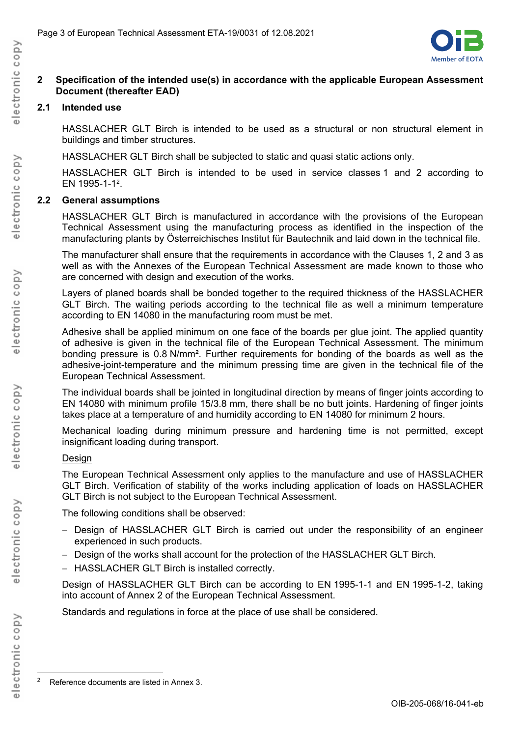

# **2 Specification of the intended use(s) in accordance with the applicable European Assessment Document (thereafter EAD)**

# **2.1 Intended use**

HASSLACHER GLT Birch is intended to be used as a structural or non structural element in buildings and timber structures.

HASSLACHER GLT Birch shall be subjected to static and quasi static actions only.

HASSLACHER GLT Birch is intended to be used in service classes 1 and 2 according to EN 1995-1-12.

### **2.2 General assumptions**

HASSLACHER GLT Birch is manufactured in accordance with the provisions of the European Technical Assessment using the manufacturing process as identified in the inspection of the manufacturing plants by Österreichisches Institut für Bautechnik and laid down in the technical file.

The manufacturer shall ensure that the requirements in accordance with the Clauses 1, 2 and 3 as well as with the Annexes of the European Technical Assessment are made known to those who are concerned with design and execution of the works.

Layers of planed boards shall be bonded together to the required thickness of the HASSLACHER GLT Birch. The waiting periods according to the technical file as well a minimum temperature according to EN 14080 in the manufacturing room must be met.

Adhesive shall be applied minimum on one face of the boards per glue joint. The applied quantity of adhesive is given in the technical file of the European Technical Assessment. The minimum bonding pressure is 0.8 N/mm². Further requirements for bonding of the boards as well as the adhesive-joint-temperature and the minimum pressing time are given in the technical file of the European Technical Assessment.

The individual boards shall be jointed in longitudinal direction by means of finger joints according to EN 14080 with minimum profile 15/3.8 mm, there shall be no butt joints. Hardening of finger joints takes place at a temperature of and humidity according to EN 14080 for minimum 2 hours.

Mechanical loading during minimum pressure and hardening time is not permitted, except insignificant loading during transport.

# **Design**

The European Technical Assessment only applies to the manufacture and use of HASSLACHER GLT Birch. Verification of stability of the works including application of loads on HASSLACHER GLT Birch is not subject to the European Technical Assessment.

The following conditions shall be observed:

- Design of HASSLACHER GLT Birch is carried out under the responsibility of an engineer experienced in such products.
- Design of the works shall account for the protection of the HASSLACHER GLT Birch.
- HASSLACHER GLT Birch is installed correctly.

Design of HASSLACHER GLT Birch can be according to EN 1995-1-1 and EN 1995-1-2, taking into account of Annex 2 of the European Technical Assessment.

Standards and regulations in force at the place of use shall be considered.

lectronic copy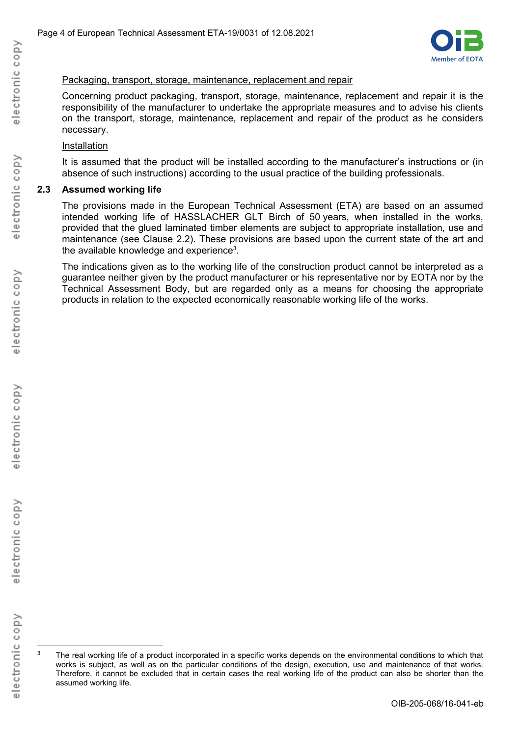

#### Packaging, transport, storage, maintenance, replacement and repair

Concerning product packaging, transport, storage, maintenance, replacement and repair it is the responsibility of the manufacturer to undertake the appropriate measures and to advise his clients on the transport, storage, maintenance, replacement and repair of the product as he considers necessary.

### Installation

It is assumed that the product will be installed according to the manufacturer's instructions or (in absence of such instructions) according to the usual practice of the building professionals.

### **2.3 Assumed working life**

The provisions made in the European Technical Assessment (ETA) are based on an assumed intended working life of HASSLACHER GLT Birch of 50 years, when installed in the works, provided that the glued laminated timber elements are subject to appropriate installation, use and maintenance (see Clause 2.2). These provisions are based upon the current state of the art and the available knowledge and experience<sup>3</sup>.

The indications given as to the working life of the construction product cannot be interpreted as a guarantee neither given by the product manufacturer or his representative nor by EOTA nor by the Technical Assessment Body, but are regarded only as a means for choosing the appropriate products in relation to the expected economically reasonable working life of the works.

l

 $3$  The real working life of a product incorporated in a specific works depends on the environmental conditions to which that works is subject, as well as on the particular conditions of the design, execution, use and maintenance of that works. Therefore, it cannot be excluded that in certain cases the real working life of the product can also be shorter than the assumed working life.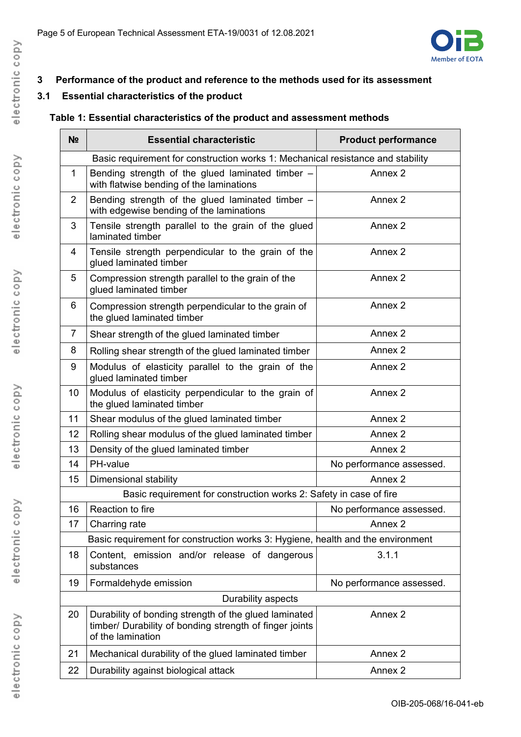

# **3 Performance of the product and reference to the methods used for its assessment**

# **3.1 Essential characteristics of the product**

# **Table 1: Essential characteristics of the product and assessment methods**

| N <sub>2</sub>                                                     | <b>Essential characteristic</b>                                                                                                       | <b>Product performance</b> |  |
|--------------------------------------------------------------------|---------------------------------------------------------------------------------------------------------------------------------------|----------------------------|--|
|                                                                    | Basic requirement for construction works 1: Mechanical resistance and stability                                                       |                            |  |
| $\mathbf 1$                                                        | Bending strength of the glued laminated timber -<br>with flatwise bending of the laminations                                          | Annex 2                    |  |
| 2                                                                  | Bending strength of the glued laminated timber -<br>with edgewise bending of the laminations                                          | Annex <sub>2</sub>         |  |
| 3                                                                  | Tensile strength parallel to the grain of the glued<br>laminated timber                                                               | Annex <sub>2</sub>         |  |
| 4                                                                  | Tensile strength perpendicular to the grain of the<br>glued laminated timber                                                          | Annex 2                    |  |
| 5                                                                  | Compression strength parallel to the grain of the<br>glued laminated timber                                                           | Annex 2                    |  |
| 6                                                                  | Compression strength perpendicular to the grain of<br>the glued laminated timber                                                      | Annex 2                    |  |
| $\overline{7}$                                                     | Shear strength of the glued laminated timber                                                                                          | Annex 2                    |  |
| 8                                                                  | Rolling shear strength of the glued laminated timber                                                                                  | Annex 2                    |  |
| 9                                                                  | Modulus of elasticity parallel to the grain of the<br>glued laminated timber                                                          | Annex <sub>2</sub>         |  |
| 10                                                                 | Modulus of elasticity perpendicular to the grain of<br>the glued laminated timber                                                     | Annex 2                    |  |
| 11                                                                 | Shear modulus of the glued laminated timber                                                                                           | Annex <sub>2</sub>         |  |
| 12                                                                 | Rolling shear modulus of the glued laminated timber                                                                                   | Annex 2                    |  |
| 13                                                                 | Density of the glued laminated timber                                                                                                 | Annex 2                    |  |
| 14                                                                 | PH-value                                                                                                                              | No performance assessed.   |  |
| 15                                                                 | Dimensional stability                                                                                                                 | Annex <sub>2</sub>         |  |
| Basic requirement for construction works 2: Safety in case of fire |                                                                                                                                       |                            |  |
| 16                                                                 | Reaction to fire                                                                                                                      | No performance assessed.   |  |
| 17                                                                 | Charring rate                                                                                                                         | Annex <sub>2</sub>         |  |
|                                                                    | Basic requirement for construction works 3: Hygiene, health and the environment                                                       |                            |  |
| 18                                                                 | Content, emission and/or release of dangerous<br>substances                                                                           | 3.1.1                      |  |
| 19                                                                 | Formaldehyde emission                                                                                                                 | No performance assessed.   |  |
|                                                                    | Durability aspects                                                                                                                    |                            |  |
| 20                                                                 | Durability of bonding strength of the glued laminated<br>timber/ Durability of bonding strength of finger joints<br>of the lamination | Annex 2                    |  |
| 21                                                                 | Mechanical durability of the glued laminated timber                                                                                   | Annex 2                    |  |
| 22                                                                 | Durability against biological attack                                                                                                  | Annex <sub>2</sub>         |  |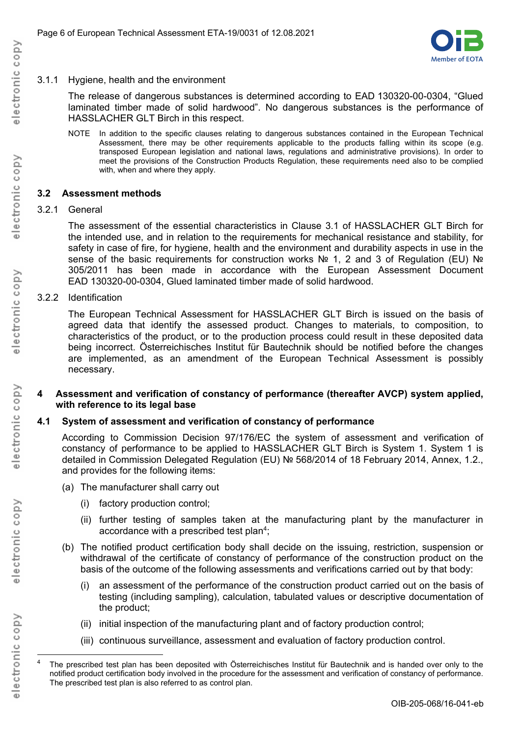

# 3.1.1 Hygiene, health and the environment

The release of dangerous substances is determined according to EAD 130320-00-0304, "Glued laminated timber made of solid hardwood". No dangerous substances is the performance of HASSLACHER GLT Birch in this respect.

NOTE In addition to the specific clauses relating to dangerous substances contained in the European Technical Assessment, there may be other requirements applicable to the products falling within its scope (e.g. transposed European legislation and national laws, regulations and administrative provisions). In order to meet the provisions of the Construction Products Regulation, these requirements need also to be complied with, when and where they apply.

### **3.2 Assessment methods**

#### 3.2.1 General

The assessment of the essential characteristics in Clause 3.1 of HASSLACHER GLT Birch for the intended use, and in relation to the requirements for mechanical resistance and stability, for safety in case of fire, for hygiene, health and the environment and durability aspects in use in the sense of the basic requirements for construction works No 1, 2 and 3 of Regulation (EU) No 305/2011 has been made in accordance with the European Assessment Document EAD 130320-00-0304, Glued laminated timber made of solid hardwood.

#### 3.2.2 Identification

The European Technical Assessment for HASSLACHER GLT Birch is issued on the basis of agreed data that identify the assessed product. Changes to materials, to composition, to characteristics of the product, or to the production process could result in these deposited data being incorrect. Österreichisches Institut für Bautechnik should be notified before the changes are implemented, as an amendment of the European Technical Assessment is possibly necessary.

#### **4 Assessment and verification of constancy of performance (thereafter AVCP) system applied, with reference to its legal base**

# **4.1 System of assessment and verification of constancy of performance**

According to Commission Decision 97/176/EC the system of assessment and verification of constancy of performance to be applied to HASSLACHER GLT Birch is System 1. System 1 is detailed in Commission Delegated Regulation (EU) № 568/2014 of 18 February 2014, Annex, 1.2., and provides for the following items:

- (a) The manufacturer shall carry out
	- (i) factory production control;
	- (ii) further testing of samples taken at the manufacturing plant by the manufacturer in accordance with a prescribed test plan<sup>4</sup>;
- (b) The notified product certification body shall decide on the issuing, restriction, suspension or withdrawal of the certificate of constancy of performance of the construction product on the basis of the outcome of the following assessments and verifications carried out by that body:
	- (i) an assessment of the performance of the construction product carried out on the basis of testing (including sampling), calculation, tabulated values or descriptive documentation of the product;
	- (ii) initial inspection of the manufacturing plant and of factory production control;
	- (iii) continuous surveillance, assessment and evaluation of factory production control.

electronic copy

l

The prescribed test plan has been deposited with Österreichisches Institut für Bautechnik and is handed over only to the notified product certification body involved in the procedure for the assessment and verification of constancy of performance. The prescribed test plan is also referred to as control plan.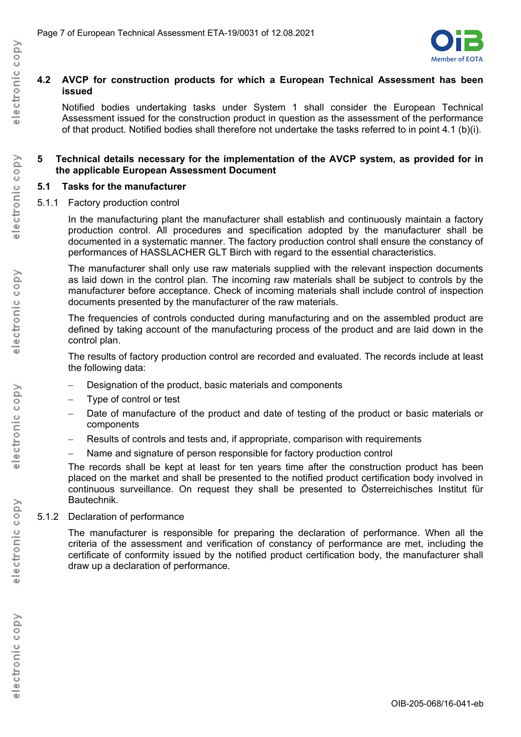

# **4.2 AVCP for construction products for which a European Technical Assessment has been issued**

Notified bodies undertaking tasks under System 1 shall consider the European Technical Assessment issued for the construction product in question as the assessment of the performance of that product. Notified bodies shall therefore not undertake the tasks referred to in point 4.1 (b)(i).

#### **5 Technical details necessary for the implementation of the AVCP system, as provided for in the applicable European Assessment Document**

### **5.1 Tasks for the manufacturer**

5.1.1 Factory production control

In the manufacturing plant the manufacturer shall establish and continuously maintain a factory production control. All procedures and specification adopted by the manufacturer shall be documented in a systematic manner. The factory production control shall ensure the constancy of performances of HASSLACHER GLT Birch with regard to the essential characteristics.

The manufacturer shall only use raw materials supplied with the relevant inspection documents as laid down in the control plan. The incoming raw materials shall be subject to controls by the manufacturer before acceptance. Check of incoming materials shall include control of inspection documents presented by the manufacturer of the raw materials.

The frequencies of controls conducted during manufacturing and on the assembled product are defined by taking account of the manufacturing process of the product and are laid down in the control plan.

The results of factory production control are recorded and evaluated. The records include at least the following data:

- Designation of the product, basic materials and components
- Type of control or test
- Date of manufacture of the product and date of testing of the product or basic materials or components
- Results of controls and tests and, if appropriate, comparison with requirements
- Name and signature of person responsible for factory production control

The records shall be kept at least for ten years time after the construction product has been placed on the market and shall be presented to the notified product certification body involved in continuous surveillance. On request they shall be presented to Österreichisches Institut für Bautechnik.

#### 5.1.2 Declaration of performance

The manufacturer is responsible for preparing the declaration of performance. When all the criteria of the assessment and verification of constancy of performance are met, including the certificate of conformity issued by the notified product certification body, the manufacturer shall draw up a declaration of performance.

electronic copy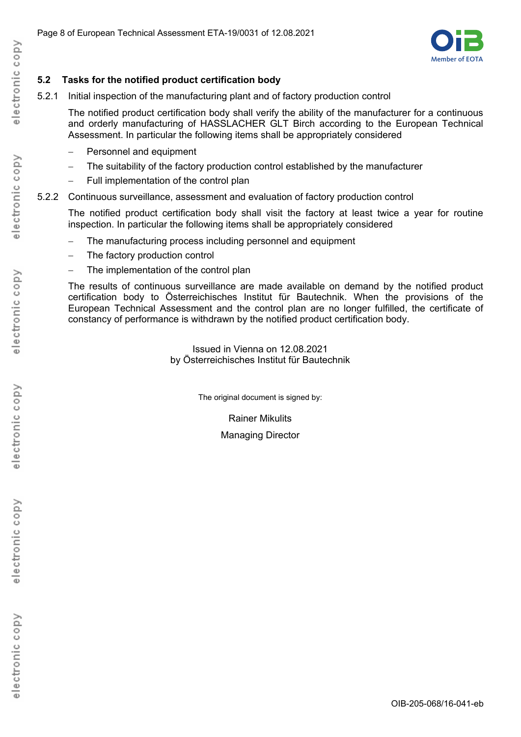

# **5.2 Tasks for the notified product certification body**

5.2.1 Initial inspection of the manufacturing plant and of factory production control

The notified product certification body shall verify the ability of the manufacturer for a continuous and orderly manufacturing of HASSLACHER GLT Birch according to the European Technical Assessment. In particular the following items shall be appropriately considered

- Personnel and equipment
- The suitability of the factory production control established by the manufacturer
- Full implementation of the control plan
- 5.2.2 Continuous surveillance, assessment and evaluation of factory production control

The notified product certification body shall visit the factory at least twice a year for routine inspection. In particular the following items shall be appropriately considered

- The manufacturing process including personnel and equipment
- The factory production control
- The implementation of the control plan

The results of continuous surveillance are made available on demand by the notified product certification body to Österreichisches Institut für Bautechnik. When the provisions of the European Technical Assessment and the control plan are no longer fulfilled, the certificate of constancy of performance is withdrawn by the notified product certification body.

> Issued in Vienna on 12.08.2021 by Österreichisches Institut für Bautechnik

> > The original document is signed by:

Rainer Mikulits

Managing Director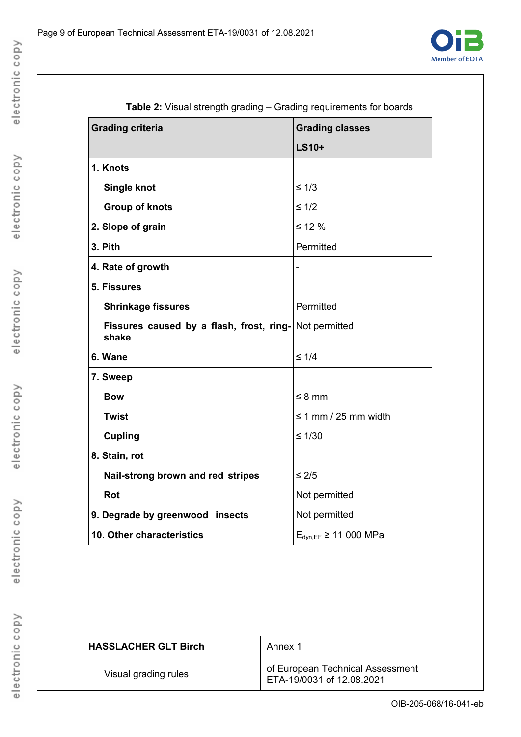

| <b>Grading criteria</b>                                         | <b>Grading classes</b>     |  |
|-----------------------------------------------------------------|----------------------------|--|
|                                                                 | <b>LS10+</b>               |  |
| 1. Knots                                                        |                            |  |
| <b>Single knot</b>                                              | $\leq 1/3$                 |  |
| <b>Group of knots</b>                                           | $\leq 1/2$                 |  |
| 2. Slope of grain                                               | $≤ 12 \%$                  |  |
| 3. Pith                                                         | Permitted                  |  |
| 4. Rate of growth                                               |                            |  |
| 5. Fissures                                                     |                            |  |
| <b>Shrinkage fissures</b>                                       | Permitted                  |  |
| Fissures caused by a flash, frost, ring- Not permitted<br>shake |                            |  |
| 6. Wane                                                         | $\leq 1/4$                 |  |
| 7. Sweep                                                        |                            |  |
| <b>Bow</b>                                                      | $\leq$ 8 mm                |  |
| <b>Twist</b>                                                    | $\leq$ 1 mm / 25 mm width  |  |
| <b>Cupling</b>                                                  | $\leq 1/30$                |  |
| 8. Stain, rot                                                   |                            |  |
| Nail-strong brown and red stripes                               | $\leq$ 2/5                 |  |
| <b>Rot</b>                                                      | Not permitted              |  |
| 9. Degrade by greenwood insects                                 | Not permitted              |  |
| 10. Other characteristics                                       | $E_{dyn,EF} \ge 11000 MPa$ |  |

| <b>HASSLACHER GLT Birch</b> | Annex 1                                                       |
|-----------------------------|---------------------------------------------------------------|
| Visual grading rules        | of European Technical Assessment<br>ETA-19/0031 of 12.08.2021 |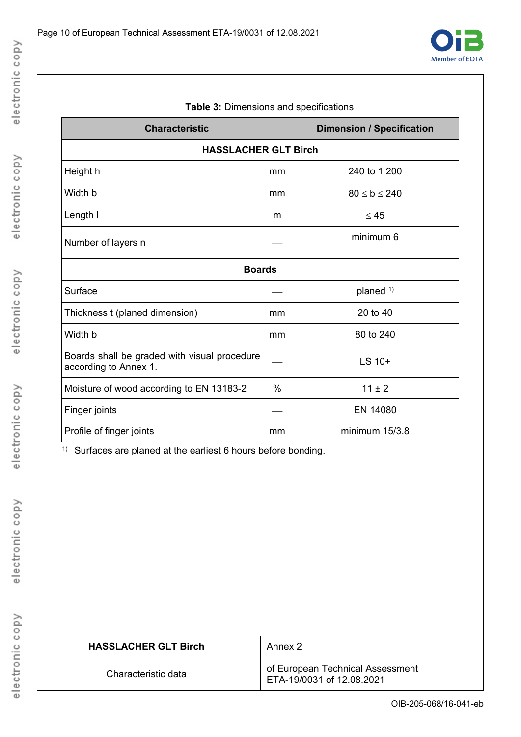

| <b>Table 3:</b> Dimensions and specifications                         |      |                                  |  |
|-----------------------------------------------------------------------|------|----------------------------------|--|
| <b>Characteristic</b>                                                 |      | <b>Dimension / Specification</b> |  |
| <b>HASSLACHER GLT Birch</b>                                           |      |                                  |  |
| Height h                                                              | mm   | 240 to 1 200                     |  |
| Width b                                                               | mm   | $80 \le b \le 240$               |  |
| Length I                                                              | m    | $\leq 45$                        |  |
| Number of layers n                                                    |      | minimum 6                        |  |
| <b>Boards</b>                                                         |      |                                  |  |
| Surface                                                               |      | planed $1$ )                     |  |
| Thickness t (planed dimension)                                        | mm   | 20 to 40                         |  |
| Width b                                                               | mm   | 80 to 240                        |  |
| Boards shall be graded with visual procedure<br>according to Annex 1. |      | $LS$ 10+                         |  |
| Moisture of wood according to EN 13183-2                              | $\%$ | $11 \pm 2$                       |  |
| Finger joints                                                         |      | EN 14080                         |  |
| Profile of finger joints                                              | mm   | minimum 15/3.8                   |  |

#### **Table 3:** Dimensions and specifications

1) Surfaces are planed at the earliest 6 hours before bonding.

| <b>HASSLACHER GLT Birch</b> | Annex 2                                                       |
|-----------------------------|---------------------------------------------------------------|
| Characteristic data         | of European Technical Assessment<br>ETA-19/0031 of 12.08.2021 |

electronic copy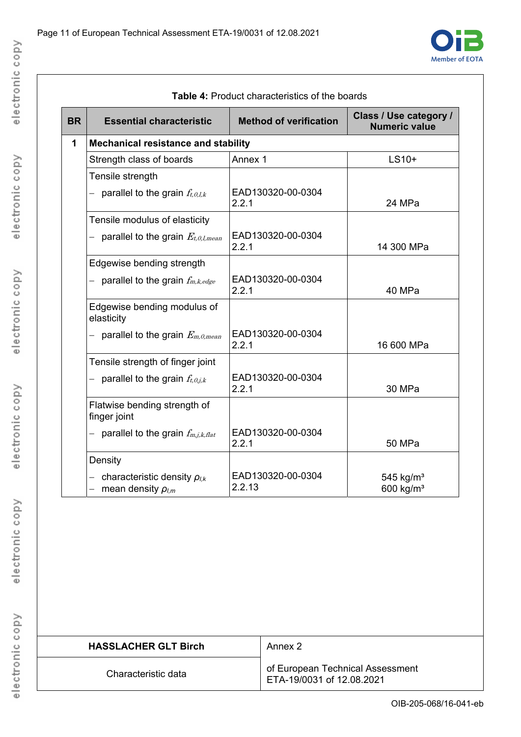

| <b>BR</b> | <b>Essential characteristic</b>                                 | <b>Method of verification</b> | Class / Use category /<br><b>Numeric value</b> |
|-----------|-----------------------------------------------------------------|-------------------------------|------------------------------------------------|
| 1         | <b>Mechanical resistance and stability</b>                      |                               |                                                |
|           | Strength class of boards                                        | Annex 1                       | $LS10+$                                        |
|           | Tensile strength                                                |                               |                                                |
|           | parallel to the grain $f_{t, 0, l, k}$                          | EAD130320-00-0304<br>2.2.1    | 24 MPa                                         |
|           | Tensile modulus of elasticity                                   |                               |                                                |
|           | parallel to the grain $E_{t,0,l,mean}$                          | EAD130320-00-0304<br>2.2.1    | 14 300 MPa                                     |
|           | Edgewise bending strength                                       |                               |                                                |
|           | parallel to the grain $f_{m,k,edge}$                            | EAD130320-00-0304<br>2.2.1    | 40 MPa                                         |
|           | Edgewise bending modulus of<br>elasticity                       |                               |                                                |
|           | parallel to the grain $E_{m,0,mean}$                            | EAD130320-00-0304<br>2.2.1    | 16 600 MPa                                     |
|           | Tensile strength of finger joint                                |                               |                                                |
|           | parallel to the grain $f_{t,0,i,k}$                             | EAD130320-00-0304<br>2.2.1    | 30 MPa                                         |
|           | Flatwise bending strength of<br>finger joint                    |                               |                                                |
|           | parallel to the grain $f_{m,j,k,flat}$                          | EAD130320-00-0304<br>2.2.1    | <b>50 MPa</b>                                  |
|           | Density                                                         |                               |                                                |
|           | characteristic density $\rho_{l,k}$<br>mean density $\rho_{lm}$ | EAD130320-00-0304<br>2.2.13   | 545 kg/ $m3$<br>600 kg/m <sup>3</sup>          |

| <b>Table 4: Product characteristics of the boards</b> |
|-------------------------------------------------------|
|-------------------------------------------------------|

| <b>HASSLACHER GLT Birch</b> | Annex 2                                                       |
|-----------------------------|---------------------------------------------------------------|
| Characteristic data         | of European Technical Assessment<br>ETA-19/0031 of 12.08.2021 |

electronic copy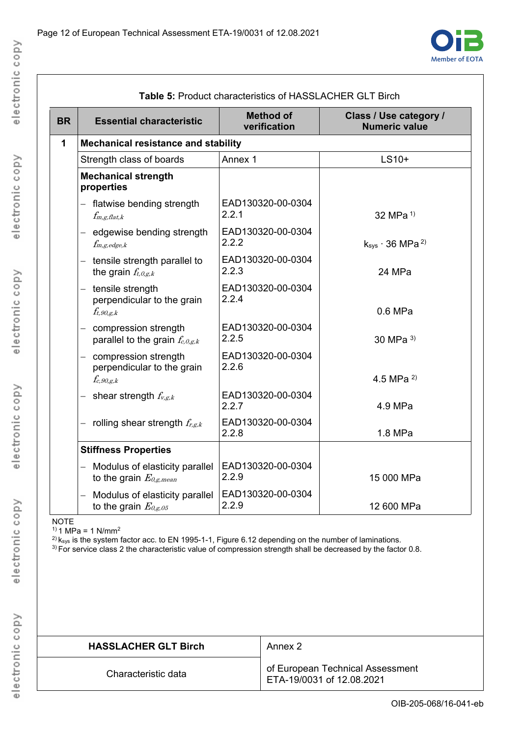

| <b>Table 5:</b> Product characteristics of HASSLACHER GLT Birch |                                                                        |                                  |                                                |
|-----------------------------------------------------------------|------------------------------------------------------------------------|----------------------------------|------------------------------------------------|
| <b>BR</b>                                                       | <b>Essential characteristic</b>                                        | <b>Method of</b><br>verification | Class / Use category /<br><b>Numeric value</b> |
| $\mathbf{1}$                                                    | <b>Mechanical resistance and stability</b>                             |                                  |                                                |
|                                                                 | Strength class of boards                                               | Annex 1                          | $LS10+$                                        |
|                                                                 | <b>Mechanical strength</b><br>properties                               |                                  |                                                |
|                                                                 | - flatwise bending strength<br>$f_{m,g,flat,k}$                        | EAD130320-00-0304<br>2.2.1       | 32 MPa <sup>1)</sup>                           |
|                                                                 | $-$ edgewise bending strength<br>$f_{m,g,edge,k}$                      | EAD130320-00-0304<br>2.2.2       | $k_{sys} \cdot 36$ MPa <sup>2)</sup>           |
|                                                                 | - tensile strength parallel to<br>the grain $f_{t,0,g,k}$              | EAD130320-00-0304<br>2.2.3       | 24 MPa                                         |
|                                                                 | $-$ tensile strength<br>perpendicular to the grain<br>$f_{t,90,g,k}$   | EAD130320-00-0304<br>2.2.4       | 0.6 MPa                                        |
|                                                                 | - compression strength<br>parallel to the grain $f_{c,0,g,k}$          | EAD130320-00-0304<br>2.2.5       | 30 MPa 3)                                      |
|                                                                 | - compression strength<br>perpendicular to the grain<br>$f_{c.90,g,k}$ | EAD130320-00-0304<br>2.2.6       | 4.5 MPa $^{2)}$                                |
|                                                                 | - shear strength $f_{v,g,k}$                                           | EAD130320-00-0304<br>2.2.7       | 4.9 MPa                                        |
|                                                                 | - rolling shear strength $f_{r,g,k}$                                   | EAD130320-00-0304<br>2.2.8       | 1.8 MPa                                        |
|                                                                 | <b>Stiffness Properties</b>                                            |                                  |                                                |
|                                                                 | Modulus of elasticity parallel<br>to the grain $E_{0,g,mean}$          | EAD130320-00-0304<br>2.2.9       | 15 000 MPa                                     |
|                                                                 | - Modulus of elasticity parallel<br>to the grain $E_{0,g,05}$          | EAD130320-00-0304<br>2.2.9       | 12 600 MPa                                     |
| <b>NOTE</b>                                                     |                                                                        |                                  |                                                |

# electronic copy electronic copy

electronic copy

 $1)$  1 MPa = 1 N/mm<sup>2</sup>

| <b>HASSLACHER GLT Birch</b> | Annex 2                                                       |
|-----------------------------|---------------------------------------------------------------|
| Characteristic data         | of European Technical Assessment<br>ETA-19/0031 of 12.08.2021 |

 $2)$  k<sub>sys</sub> is the system factor acc. to EN 1995-1-1, Figure 6.12 depending on the number of laminations. 3) For service class 2 the characteristic value of compression strength shall be decreased by the factor 0.8.

# **Table 5:** Product characteristics of HASSLACHER GLT Birch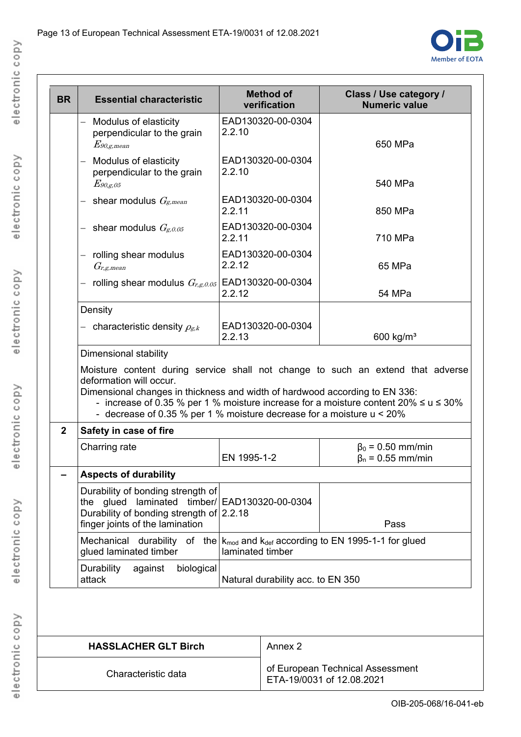

| Modulus of elasticity<br>$\overline{\phantom{0}}$<br>perpendicular to the grain<br>$E_{90,g,mean}$<br>Modulus of elasticity<br>$\qquad \qquad -$<br>perpendicular to the grain | EAD130320-00-0304<br>2.2.10<br>EAD130320-00-0304 | 650 MPa                                                                                                                                                                                                                                                                                                                                                                                                                                                                                                                                                                     |  |
|--------------------------------------------------------------------------------------------------------------------------------------------------------------------------------|--------------------------------------------------|-----------------------------------------------------------------------------------------------------------------------------------------------------------------------------------------------------------------------------------------------------------------------------------------------------------------------------------------------------------------------------------------------------------------------------------------------------------------------------------------------------------------------------------------------------------------------------|--|
|                                                                                                                                                                                |                                                  |                                                                                                                                                                                                                                                                                                                                                                                                                                                                                                                                                                             |  |
| $E_{90,g,05}$                                                                                                                                                                  | 2.2.10                                           | 540 MPa                                                                                                                                                                                                                                                                                                                                                                                                                                                                                                                                                                     |  |
| shear modulus $G_{g,mean}$                                                                                                                                                     | EAD130320-00-0304<br>2.2.11                      | 850 MPa                                                                                                                                                                                                                                                                                                                                                                                                                                                                                                                                                                     |  |
| - shear modulus $G_{g,0.05}$                                                                                                                                                   | EAD130320-00-0304<br>2.2.11                      | 710 MPa                                                                                                                                                                                                                                                                                                                                                                                                                                                                                                                                                                     |  |
| rolling shear modulus<br>$G_{r,g,mean}$                                                                                                                                        | EAD130320-00-0304<br>2.2.12                      | 65 MPa                                                                                                                                                                                                                                                                                                                                                                                                                                                                                                                                                                      |  |
|                                                                                                                                                                                | EAD130320-00-0304<br>2.2.12                      | 54 MPa                                                                                                                                                                                                                                                                                                                                                                                                                                                                                                                                                                      |  |
| Density                                                                                                                                                                        |                                                  |                                                                                                                                                                                                                                                                                                                                                                                                                                                                                                                                                                             |  |
| characteristic density $\rho_{g,k}$                                                                                                                                            | EAD130320-00-0304<br>2.2.13                      | 600 kg/ $m3$                                                                                                                                                                                                                                                                                                                                                                                                                                                                                                                                                                |  |
|                                                                                                                                                                                |                                                  |                                                                                                                                                                                                                                                                                                                                                                                                                                                                                                                                                                             |  |
| deformation will occur.                                                                                                                                                        |                                                  |                                                                                                                                                                                                                                                                                                                                                                                                                                                                                                                                                                             |  |
| Safety in case of fire                                                                                                                                                         |                                                  |                                                                                                                                                                                                                                                                                                                                                                                                                                                                                                                                                                             |  |
| Charring rate                                                                                                                                                                  | EN 1995-1-2                                      | $β0 = 0.50$ mm/min<br>$\beta_n$ = 0.55 mm/min                                                                                                                                                                                                                                                                                                                                                                                                                                                                                                                               |  |
| <b>Aspects of durability</b>                                                                                                                                                   |                                                  |                                                                                                                                                                                                                                                                                                                                                                                                                                                                                                                                                                             |  |
| Durability of bonding strength of<br>finger joints of the lamination                                                                                                           |                                                  | Pass                                                                                                                                                                                                                                                                                                                                                                                                                                                                                                                                                                        |  |
| glued laminated timber                                                                                                                                                         | laminated timber                                 |                                                                                                                                                                                                                                                                                                                                                                                                                                                                                                                                                                             |  |
| <b>Durability</b><br>biological<br>against<br>attack                                                                                                                           | Natural durability acc. to EN 350                |                                                                                                                                                                                                                                                                                                                                                                                                                                                                                                                                                                             |  |
|                                                                                                                                                                                | Dimensional stability                            | rolling shear modulus $G_{r,g,0.05}$<br>Moisture content during service shall not change to such an extend that adverse<br>Dimensional changes in thickness and width of hardwood according to EN 336:<br>- increase of 0.35 % per 1 % moisture increase for a moisture content 20% $\leq u \leq 30\%$<br>- decrease of 0.35 % per 1 % moisture decrease for a moisture $u < 20\%$<br>the glued laminated timber/ EAD130320-00-0304<br>Durability of bonding strength of 2.2.18<br>Mechanical durability of the $ k_{mod}$ and $k_{def}$ according to EN 1995-1-1 for glued |  |

| <b>HASSLACHER GLT Birch</b> | Annex 2                                                       |
|-----------------------------|---------------------------------------------------------------|
| Characteristic data         | of European Technical Assessment<br>ETA-19/0031 of 12.08.2021 |